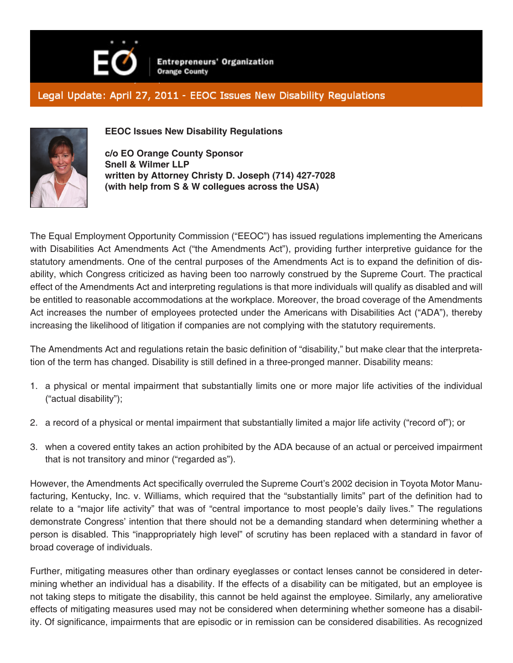

**Entrepreneurs' Organization Orange County** 

## Legal Update: April 27, 2011 - EEOC Issues New Disability Regulations



**EEOC Issues New Disability Regulations**

**c/o EO Orange County Sponsor Snell & Wilmer LLP written by Attorney Christy D. Joseph (714) 427-7028 (with help from S & W collegues across the USA)**

The Equal Employment Opportunity Commission ("EEOC") has issued regulations implementing the Americans with Disabilities Act Amendments Act ("the Amendments Act"), providing further interpretive guidance for the statutory amendments. One of the central purposes of the Amendments Act is to expand the definition of disability, which Congress criticized as having been too narrowly construed by the Supreme Court. The practical effect of the Amendments Act and interpreting regulations is that more individuals will qualify as disabled and will be entitled to reasonable accommodations at the workplace. Moreover, the broad coverage of the Amendments Act increases the number of employees protected under the Americans with Disabilities Act ("ADA"), thereby increasing the likelihood of litigation if companies are not complying with the statutory requirements.

The Amendments Act and regulations retain the basic definition of "disability," but make clear that the interpretation of the term has changed. Disability is still defined in a three-pronged manner. Disability means:

- 1. a physical or mental impairment that substantially limits one or more major life activities of the individual ("actual disability");
- 2. a record of a physical or mental impairment that substantially limited a major life activity ("record of"); or
- 3. when a covered entity takes an action prohibited by the ADA because of an actual or perceived impairment that is not transitory and minor ("regarded as").

However, the Amendments Act specifically overruled the Supreme Court's 2002 decision in Toyota Motor Manufacturing, Kentucky, Inc. v. Williams, which required that the "substantially limits" part of the definition had to relate to a "major life activity" that was of "central importance to most people's daily lives." The regulations demonstrate Congress' intention that there should not be a demanding standard when determining whether a person is disabled. This "inappropriately high level" of scrutiny has been replaced with a standard in favor of broad coverage of individuals.

Further, mitigating measures other than ordinary eyeglasses or contact lenses cannot be considered in determining whether an individual has a disability. If the effects of a disability can be mitigated, but an employee is not taking steps to mitigate the disability, this cannot be held against the employee. Similarly, any ameliorative effects of mitigating measures used may not be considered when determining whether someone has a disability. Of significance, impairments that are episodic or in remission can be considered disabilities. As recognized